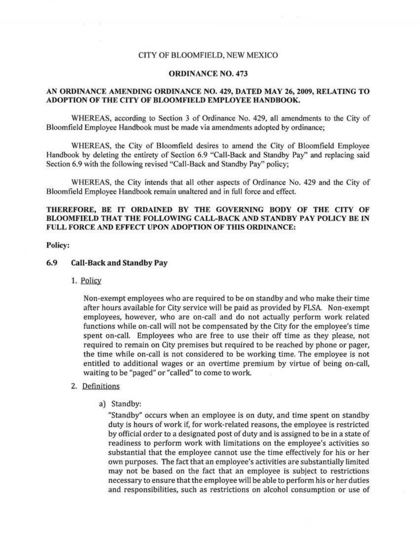### CITY OF BLOOMFIELD, NEW MEXICO

#### ORDINANCE NO. 473

## AN ORDINANCE AMENDING ORDINANCE NO. 429, DATED MAY 26, 2009, RELATING TO ADOPTION OF THE CITY OF BLOOMFIELD EMPLOYEE HANDBOOK.

WHEREAS, according to Section 3 of Ordinance No. 429, all amendments to the City of Bloomfield Employee Handbook must be made via amendments adopted by ordinance;

WHEREAS, the City of Bloomfield desires to amend the City of Bloomfield Employee Handbook by deleting the entirety of Section 6.9 "Call-Back and Standby Pay" and replacing said Section 6.9 with the following revised "Call-Back and Standby Pay" policy;

WHEREAS, the City intends that all other aspects of Ordinance No. 429 and the City of Bloomfield Employee Handbook remain unaltered and in full force and effect.

# THEREFORE, BE IT ORDAINED BY THE GOVERNING BODY OF THE CITY OF BLOOMFIELD THAT THE FOLLOWING CALL-BACK ANU STANDBY PAY POLICY BE IN FULL FORCE AND EFFECT UPON ADOPTION OF THIS ORDINANCE:

#### Policy:

# 6.9 Call-Back and Standby Pay

1. Policy

Non-exempt employees who are required to be on standby and who make their time after hours available for City service will be paid as provided by FLSA. Non-exempt employees, however, who are on-call and do not actually perform work related functions while on-call will not be compensated by the City for the employee's time spent on-call. Employees who are free to use their off time as they please, not required to remain on City premises but required to be reached by phone or pager, the time while on-call is not considered to be working time. The employee is not entitled to additional wages or an overtime premium by virtue of being on-call, waiting to be "paged" or "called" to come to work.

## 2. Definitions

a) Standby:

"Standby" occurs when an employee is on duty, and time spent on standby duty is hours of work if, for work-related reasons, the employee is restricted by official order to a designated post of duty and is assigned to be in a state of readiness to perform work with limitations on the employee's activities so substantial that the employee cannot use the time effectively for his or her own purposes. The fact that an employee's activities are substantially limited may not be based on the fact that an employee is subject to restrictions necessary to ensure that the employee will be able to perform his or her duties and responsibilities, such as restrictions on alcohol consumption or use of